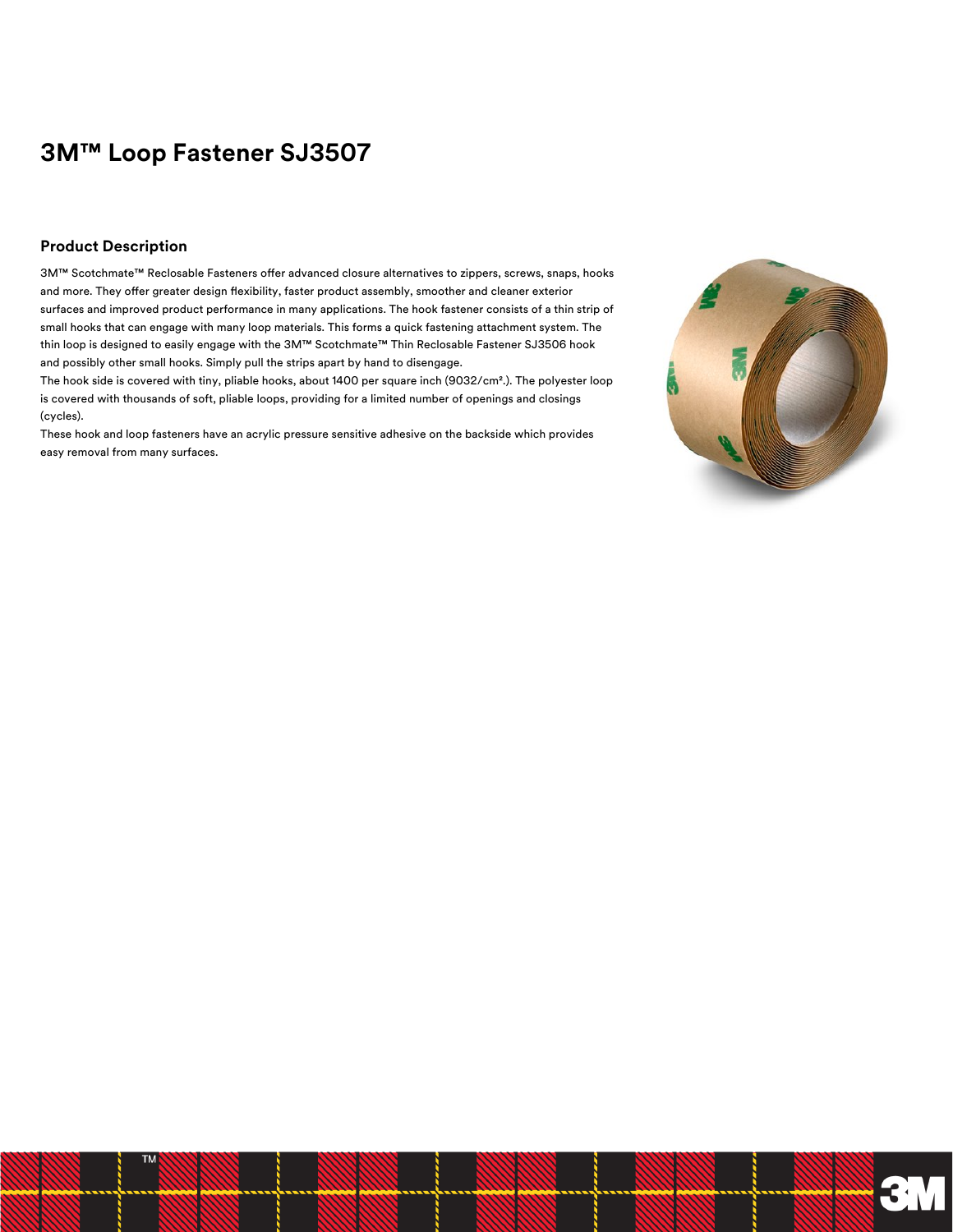# **3M™ Loop Fastener SJ3507**

#### **Product Description**

3M™ Scotchmate™ Reclosable Fasteners offer advanced closure alternatives to zippers, screws, snaps, hooks and more. They offer greater design flexibility, faster product assembly, smoother and cleaner exterior surfaces and improved product performance in many applications. The hook fastener consists of a thin strip of small hooks that can engage with many loop materials. This forms a quick fastening attachment system. The thin loop is designed to easily engage with the 3M™ Scotchmate™ Thin Reclosable Fastener SJ3506 hook and possibly other small hooks. Simply pull the strips apart by hand to disengage.

The hook side is covered with tiny, pliable hooks, about 1400 per square inch (9032/cm².). The polyester loop is covered with thousands of soft, pliable loops, providing for a limited number of openings and closings (cycles).

These hook and loop fasteners have an acrylic pressure sensitive adhesive on the backside which provides easy removal from many surfaces.

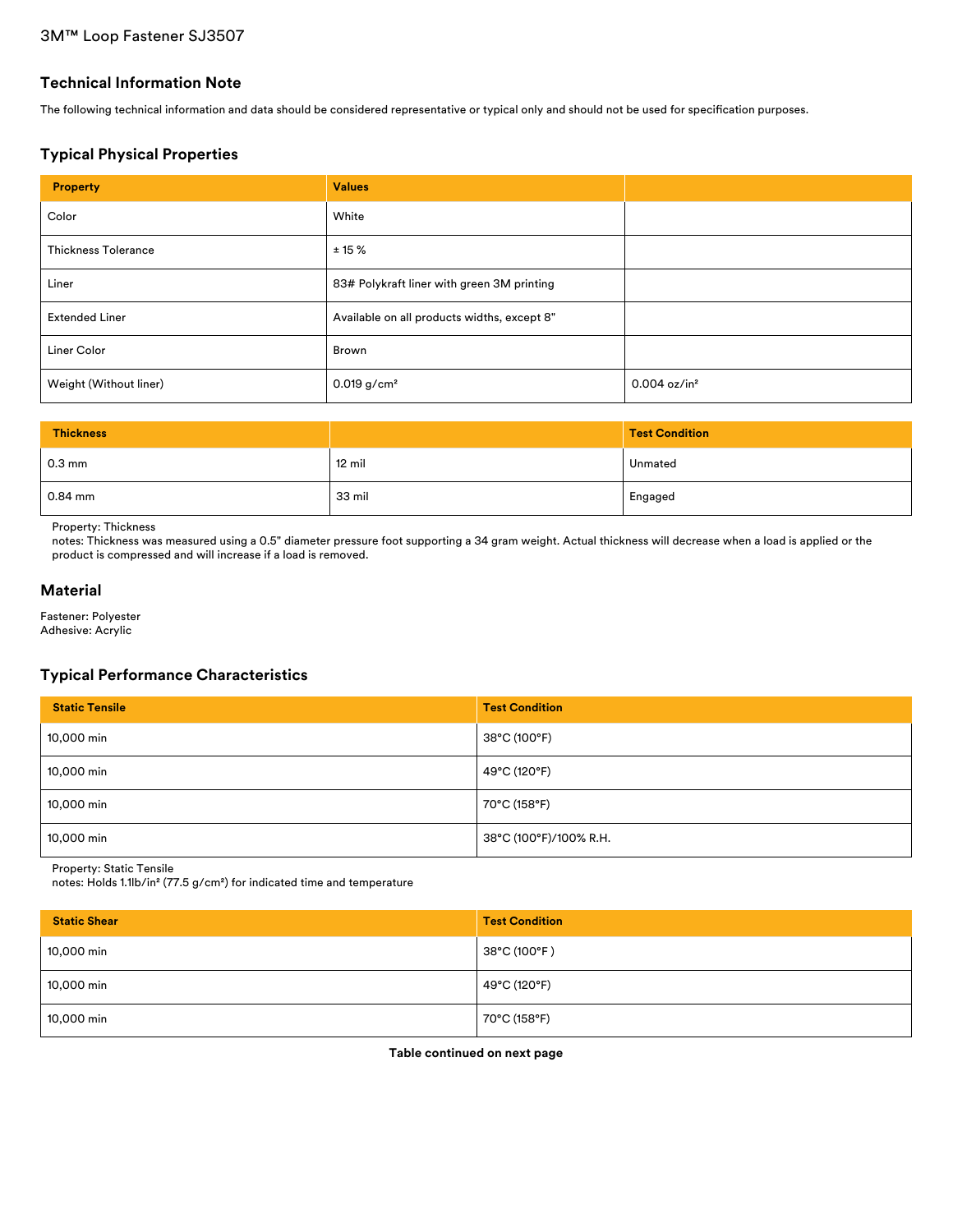### **Technical Information Note**

The following technical information and data should be considered representative or typical only and should not be used for specification purposes.

# **Typical Physical Properties**

| <b>Property</b>            | <b>Values</b>                               |                            |
|----------------------------|---------------------------------------------|----------------------------|
| Color                      | White                                       |                            |
| <b>Thickness Tolerance</b> | $± 15 \%$                                   |                            |
| Liner                      | 83# Polykraft liner with green 3M printing  |                            |
| <b>Extended Liner</b>      | Available on all products widths, except 8" |                            |
| Liner Color                | Brown                                       |                            |
| Weight (Without liner)     | $0.019$ g/cm <sup>2</sup>                   | $0.004$ oz/in <sup>2</sup> |

| <b>Thickness</b> |                  | <b>Test Condition</b> |
|------------------|------------------|-----------------------|
| $0.3 \text{ mm}$ | $12 \text{ mil}$ | Unmated               |
| $0.84$ mm        | 33 mil           | Engaged               |

Property: Thickness

notes: Thickness was measured using a 0.5" diameter pressure foot supporting a 34 gram weight. Actual thickness will decrease when a load is applied or the product is compressed and will increase if a load is removed.

#### **Material**

Fastener: Polyester Adhesive: Acrylic

# **Typical Performance Characteristics**

| <b>Static Tensile</b> | <b>Test Condition</b>  |
|-----------------------|------------------------|
| 10,000 min            | 38°C (100°F)           |
| 10,000 min            | 49°C (120°F)           |
| 10,000 min            | 70°C (158°F)           |
| 10,000 min            | 38°C (100°F)/100% R.H. |

Property: Static Tensile

notes: Holds 1.1lb/in² (77.5 g/cm²) for indicated time and temperature

| <b>Static Shear</b> | <b>Test Condition</b> |
|---------------------|-----------------------|
| 10,000 min          | 38°C (100°F)          |
| 10,000 min          | 49°C (120°F)          |
| 10,000 min          | 70°C (158°F)          |

**Table continued on next page**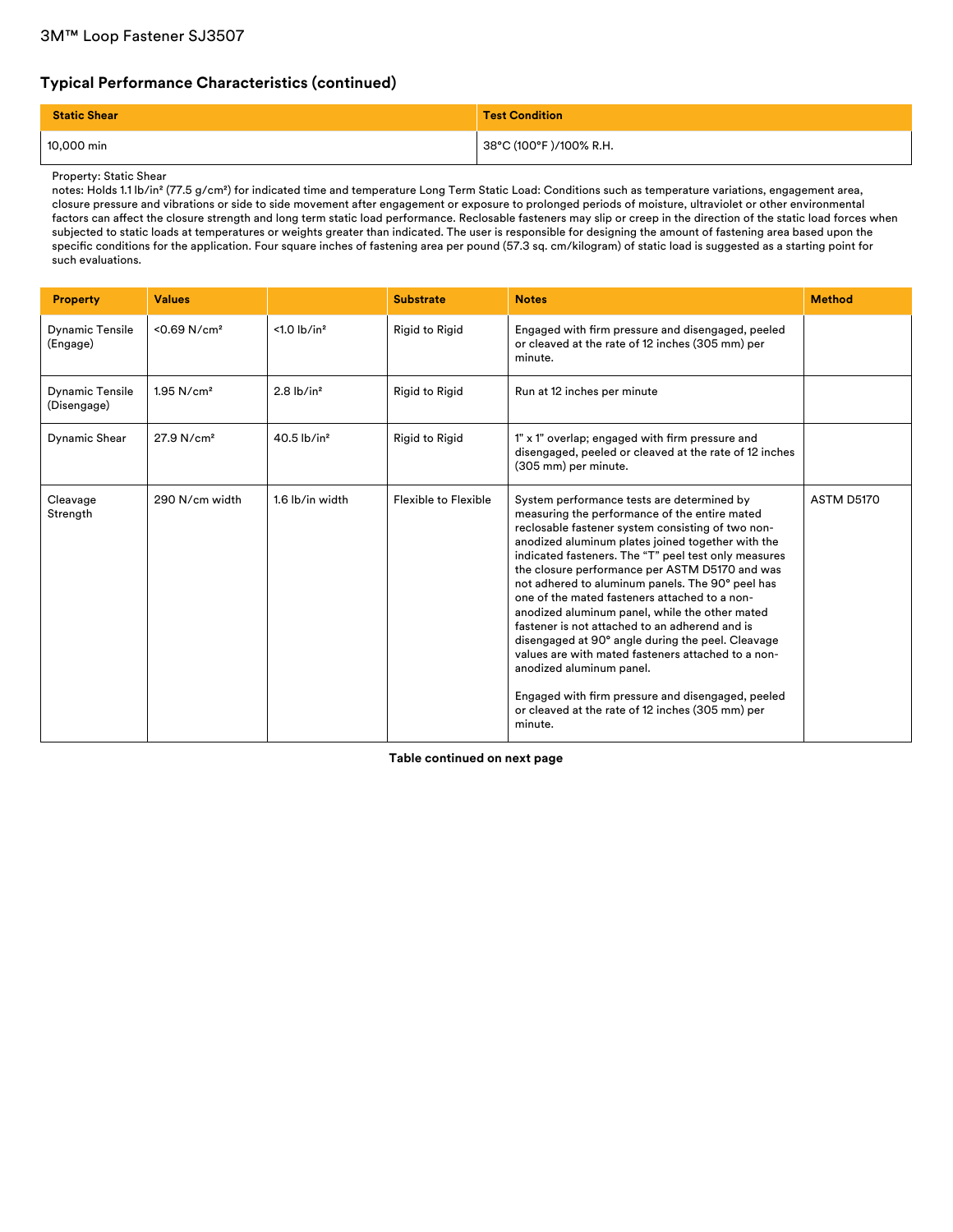# **Typical Performance Characteristics (continued)**

| <b>Static Shear</b> | <b>Test Condition</b>   |
|---------------------|-------------------------|
| 10,000 min          | 38°C (100°F )/100% R.H. |

Property: Static Shear

notes: Holds 1.1 lb/in² (77.5 g/cm²) for indicated time and temperature Long Term Static Load: Conditions such as temperature variations, engagement area, closure pressure and vibrations or side to side movement after engagement or exposure to prolonged periods of moisture, ultraviolet or other environmental factors can affect the closure strength and long term static load performance. Reclosable fasteners may slip or creep in the direction of the static load forces when subjected to static loads at temperatures or weights greater than indicated. The user is responsible for designing the amount of fastening area based upon the specific conditions for the application. Four square inches of fastening area per pound (57.3 sq. cm/kilogram) of static load is suggested as a starting point for such evaluations.

| <b>Property</b>                       | <b>Values</b>              |                            | <b>Substrate</b>      | <b>Notes</b>                                                                                                                                                                                                                                                                                                                                                                                                                                                                                                                                                                                                                                                                                                                                                                        | <b>Method</b> |
|---------------------------------------|----------------------------|----------------------------|-----------------------|-------------------------------------------------------------------------------------------------------------------------------------------------------------------------------------------------------------------------------------------------------------------------------------------------------------------------------------------------------------------------------------------------------------------------------------------------------------------------------------------------------------------------------------------------------------------------------------------------------------------------------------------------------------------------------------------------------------------------------------------------------------------------------------|---------------|
| <b>Dynamic Tensile</b><br>(Engage)    | $< 0.69$ N/cm <sup>2</sup> | $< 1.0$ lb/in <sup>2</sup> | <b>Rigid to Rigid</b> | Engaged with firm pressure and disengaged, peeled<br>or cleaved at the rate of 12 inches (305 mm) per<br>minute.                                                                                                                                                                                                                                                                                                                                                                                                                                                                                                                                                                                                                                                                    |               |
| <b>Dynamic Tensile</b><br>(Disengage) | $1.95$ N/cm <sup>2</sup>   | $2.8$ lb/in <sup>2</sup>   | <b>Rigid to Rigid</b> | Run at 12 inches per minute                                                                                                                                                                                                                                                                                                                                                                                                                                                                                                                                                                                                                                                                                                                                                         |               |
| Dynamic Shear                         | 27.9 N/cm <sup>2</sup>     | $40.5$ lb/in <sup>2</sup>  | <b>Rigid to Rigid</b> | 1" x 1" overlap; engaged with firm pressure and<br>disengaged, peeled or cleaved at the rate of 12 inches<br>(305 mm) per minute.                                                                                                                                                                                                                                                                                                                                                                                                                                                                                                                                                                                                                                                   |               |
| Cleavage<br>Strength                  | 290 N/cm width             | 1.6 lb/in width            | Flexible to Flexible  | System performance tests are determined by<br>measuring the performance of the entire mated<br>reclosable fastener system consisting of two non-<br>anodized aluminum plates joined together with the<br>indicated fasteners. The "T" peel test only measures<br>the closure performance per ASTM D5170 and was<br>not adhered to aluminum panels. The 90° peel has<br>one of the mated fasteners attached to a non-<br>anodized aluminum panel, while the other mated<br>fastener is not attached to an adherend and is<br>disengaged at 90° angle during the peel. Cleavage<br>values are with mated fasteners attached to a non-<br>anodized aluminum panel.<br>Engaged with firm pressure and disengaged, peeled<br>or cleaved at the rate of 12 inches (305 mm) per<br>minute. | ASTM D5170    |

**Table continued on next page**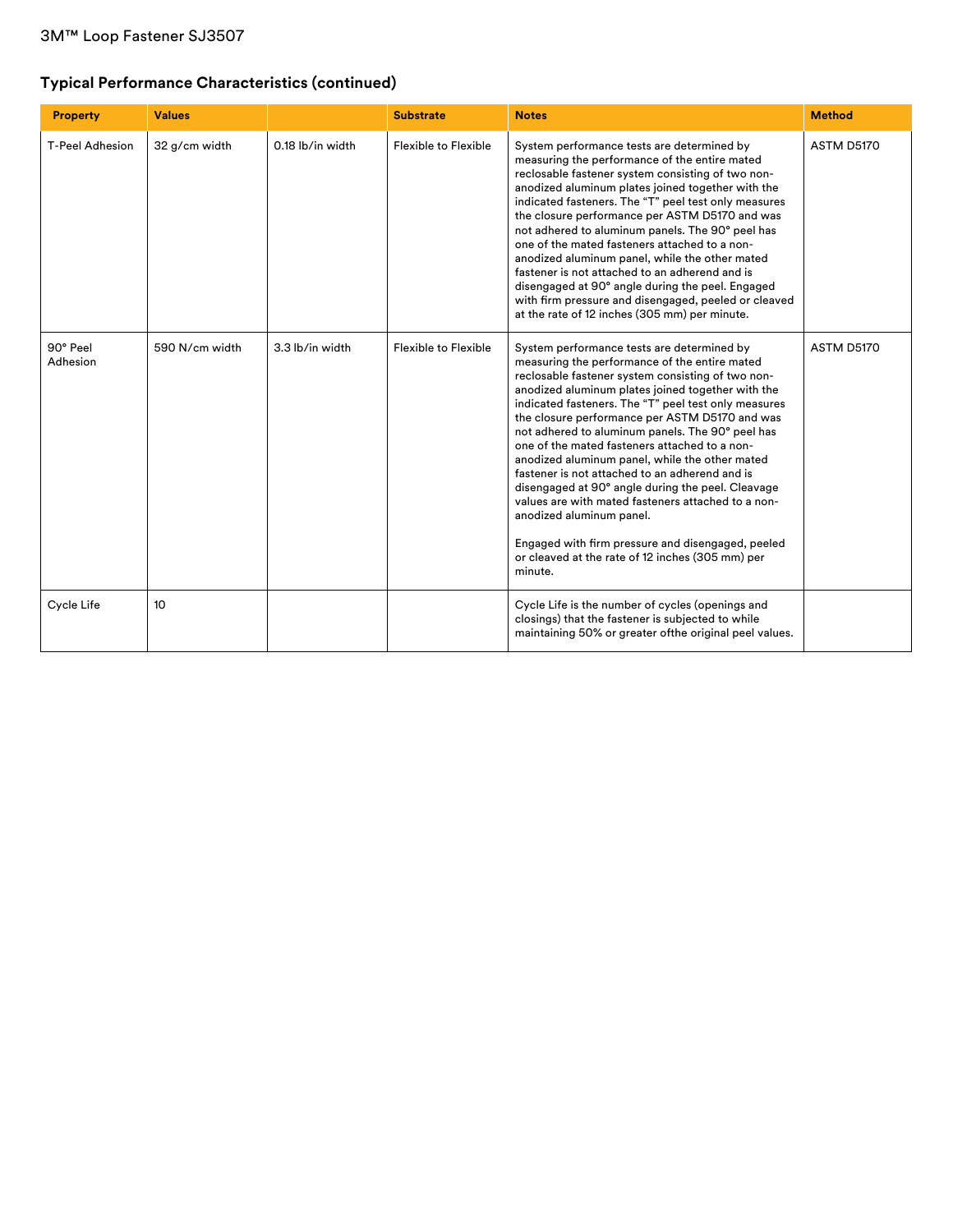# **Typical Performance Characteristics (continued)**

| <b>Property</b>        | <b>Values</b>    |                  | <b>Substrate</b>     | <b>Notes</b>                                                                                                                                                                                                                                                                                                                                                                                                                                                                                                                                                                                                                                                                                                                                                                        | <b>Method</b> |
|------------------------|------------------|------------------|----------------------|-------------------------------------------------------------------------------------------------------------------------------------------------------------------------------------------------------------------------------------------------------------------------------------------------------------------------------------------------------------------------------------------------------------------------------------------------------------------------------------------------------------------------------------------------------------------------------------------------------------------------------------------------------------------------------------------------------------------------------------------------------------------------------------|---------------|
| <b>T-Peel Adhesion</b> | 32 g/cm width    | 0.18 lb/in width | Flexible to Flexible | System performance tests are determined by<br>measuring the performance of the entire mated<br>reclosable fastener system consisting of two non-<br>anodized aluminum plates joined together with the<br>indicated fasteners. The "T" peel test only measures<br>the closure performance per ASTM D5170 and was<br>not adhered to aluminum panels. The 90° peel has<br>one of the mated fasteners attached to a non-<br>anodized aluminum panel, while the other mated<br>fastener is not attached to an adherend and is<br>disengaged at 90° angle during the peel. Engaged<br>with firm pressure and disengaged, peeled or cleaved<br>at the rate of 12 inches (305 mm) per minute.                                                                                               | ASTM D5170    |
| 90° Peel<br>Adhesion   | 590 N/cm width   | 3.3 lb/in width  | Flexible to Flexible | System performance tests are determined by<br>measuring the performance of the entire mated<br>reclosable fastener system consisting of two non-<br>anodized aluminum plates joined together with the<br>indicated fasteners. The "T" peel test only measures<br>the closure performance per ASTM D5170 and was<br>not adhered to aluminum panels. The 90° peel has<br>one of the mated fasteners attached to a non-<br>anodized aluminum panel, while the other mated<br>fastener is not attached to an adherend and is<br>disengaged at 90° angle during the peel. Cleavage<br>values are with mated fasteners attached to a non-<br>anodized aluminum panel.<br>Engaged with firm pressure and disengaged, peeled<br>or cleaved at the rate of 12 inches (305 mm) per<br>minute. | ASTM D5170    |
| Cycle Life             | 10 <sup>10</sup> |                  |                      | Cycle Life is the number of cycles (openings and<br>closings) that the fastener is subjected to while<br>maintaining 50% or greater of the original peel values.                                                                                                                                                                                                                                                                                                                                                                                                                                                                                                                                                                                                                    |               |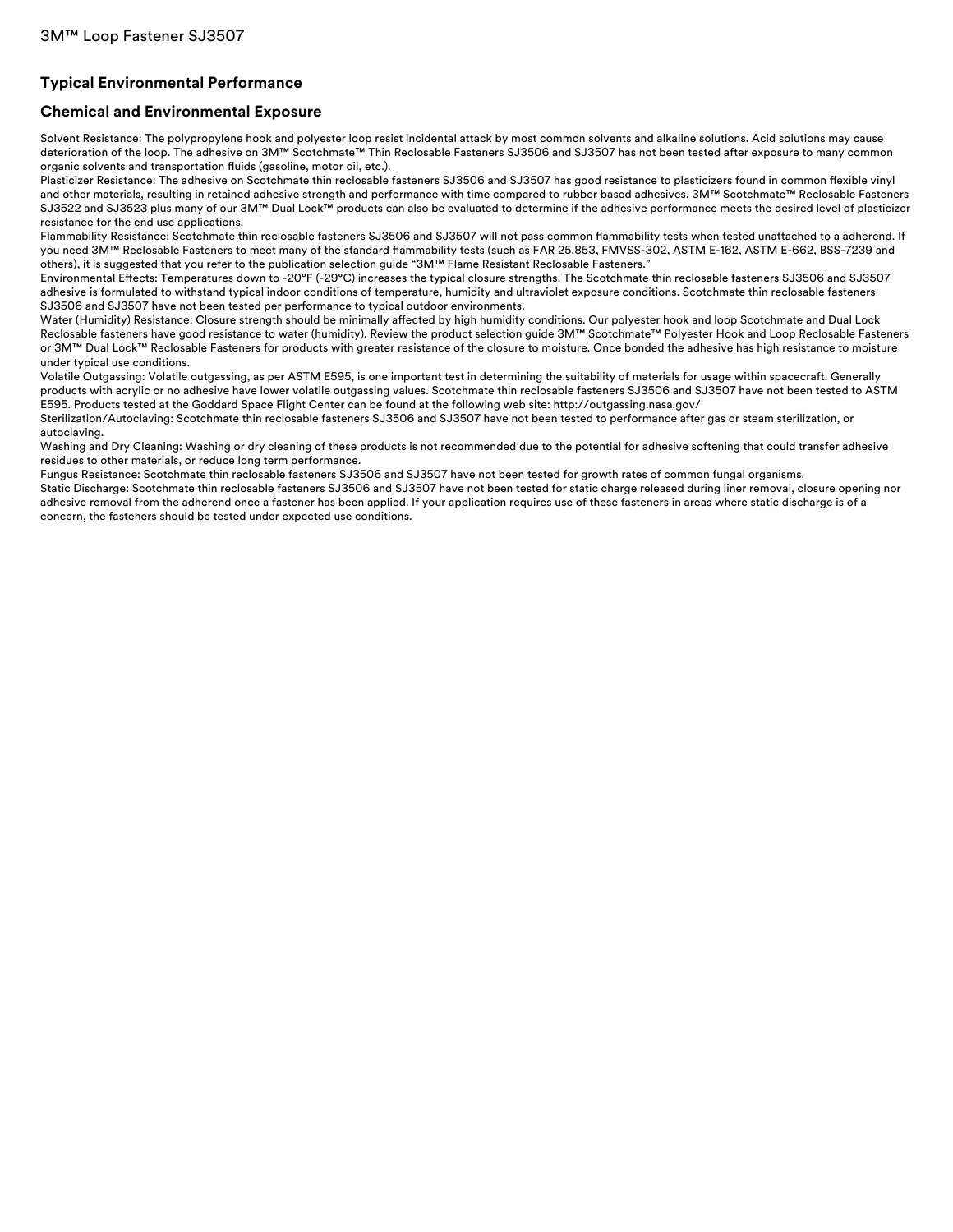# **Typical Environmental Performance**

### **Chemical and Environmental Exposure**

Solvent Resistance: The polypropylene hook and polyester loop resist incidental attack by most common solvents and alkaline solutions. Acid solutions may cause deterioration of the loop. The adhesive on 3M™ Scotchmate™ Thin Reclosable Fasteners SJ3506 and SJ3507 has not been tested after exposure to many common organic solvents and transportation fluids (gasoline, motor oil, etc.).

Plasticizer Resistance: The adhesive on Scotchmate thin reclosable fasteners SJ3506 and SJ3507 has good resistance to plasticizers found in common flexible vinyl and other materials, resulting in retained adhesive strength and performance with time compared to rubber based adhesives. 3M™ Scotchmate™ Reclosable Fasteners SJ3522 and SJ3523 plus many of our 3M™ Dual Lock™ products can also be evaluated to determine if the adhesive performance meets the desired level of plasticizer resistance for the end use applications.

Flammability Resistance: Scotchmate thin reclosable fasteners SJ3506 and SJ3507 will not pass common flammability tests when tested unattached to a adherend. If you need 3M™ Reclosable Fasteners to meet many of the standard flammability tests (such as FAR 25.853, FMVSS-302, ASTM E-162, ASTM E-662, BSS-7239 and others), it is suggested that you refer to the publication selection guide "3M™ Flame Resistant Reclosable Fasteners."

Environmental Effects: Temperatures down to -20°F (-29°C) increases the typical closure strengths. The Scotchmate thin reclosable fasteners SJ3506 and SJ3507 adhesive is formulated to withstand typical indoor conditions of temperature, humidity and ultraviolet exposure conditions. Scotchmate thin reclosable fasteners SJ3506 and SJ3507 have not been tested per performance to typical outdoor environments.

Water (Humidity) Resistance: Closure strength should be minimally affected by high humidity conditions. Our polyester hook and loop Scotchmate and Dual Lock Reclosable fasteners have good resistance to water (humidity). Review the product selection guide 3M™ Scotchmate™ Polyester Hook and Loop Reclosable Fasteners or 3M™ Dual Lock™ Reclosable Fasteners for products with greater resistance of the closure to moisture. Once bonded the adhesive has high resistance to moisture under typical use conditions.

Volatile Outgassing: Volatile outgassing, as per ASTM E595, is one important test in determining the suitability of materials for usage within spacecraft. Generally products with acrylic or no adhesive have lower volatile outgassing values. Scotchmate thin reclosable fasteners SJ3506 and SJ3507 have not been tested to ASTM E595. Products tested at the Goddard Space Flight Center can be found at the following web site: http://outgassing.nasa.gov/

Sterilization/Autoclaving: Scotchmate thin reclosable fasteners SJ3506 and SJ3507 have not been tested to performance after gas or steam sterilization, or autoclaving.

Washing and Dry Cleaning: Washing or dry cleaning of these products is not recommended due to the potential for adhesive softening that could transfer adhesive residues to other materials, or reduce long term performance.

Fungus Resistance: Scotchmate thin reclosable fasteners SJ3506 and SJ3507 have not been tested for growth rates of common fungal organisms.

Static Discharge: Scotchmate thin reclosable fasteners SJ3506 and SJ3507 have not been tested for static charge released during liner removal, closure opening nor adhesive removal from the adherend once a fastener has been applied. If your application requires use of these fasteners in areas where static discharge is of a concern, the fasteners should be tested under expected use conditions.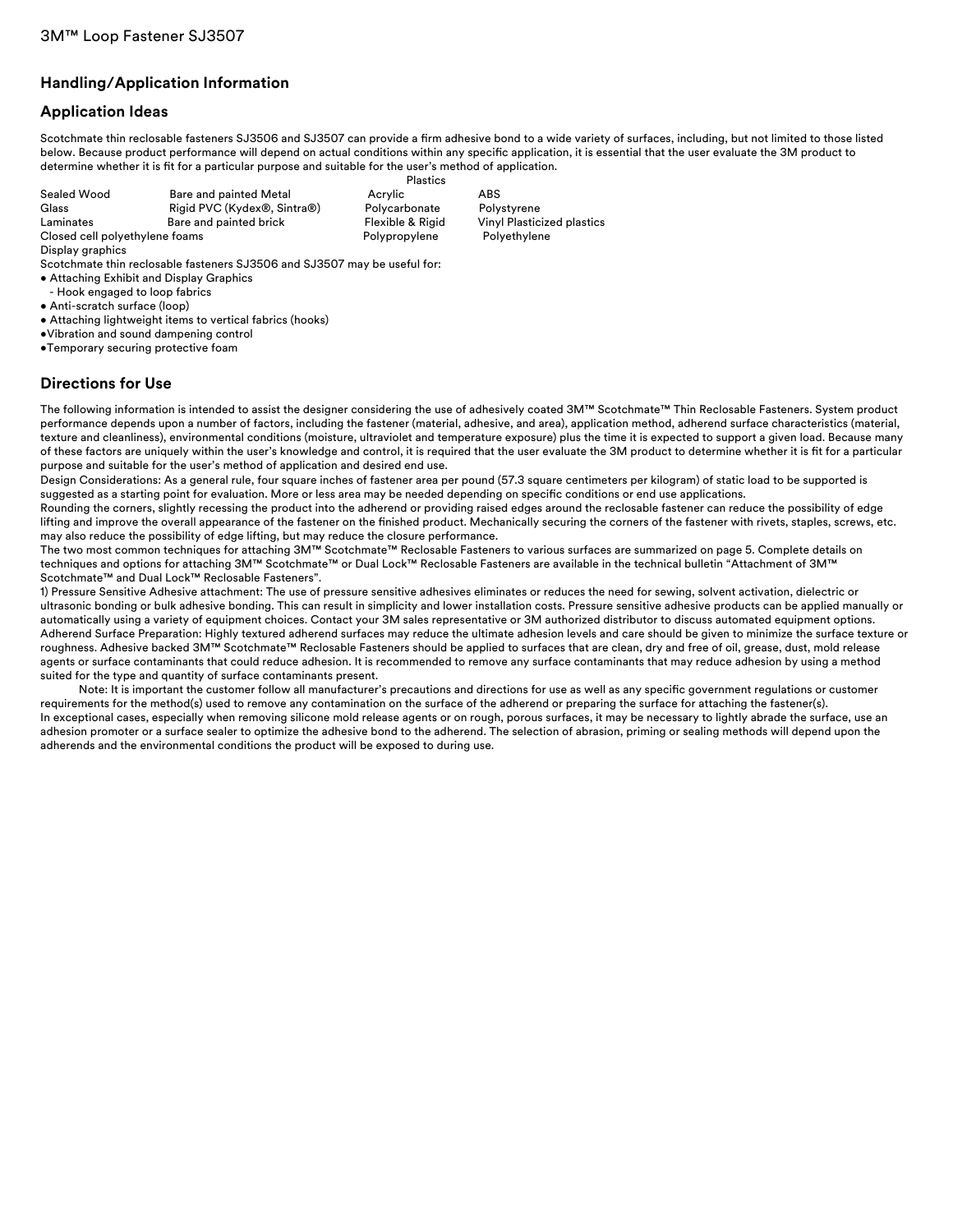# **Handling/Application Information**

# **Application Ideas**

Scotchmate thin reclosable fasteners SJ3506 and SJ3507 can provide a firm adhesive bond to a wide variety of surfaces, including, but not limited to those listed below. Because product performance will depend on actual conditions within any specific application, it is essential that the user evaluate the 3M product to determine whether it is fit for a particular purpose and suitable for the user's method of application.

|                                |                             | <b>Plastics</b>  |       |
|--------------------------------|-----------------------------|------------------|-------|
| Sealed Wood                    | Bare and painted Metal      | Acrylic          | ABS   |
| Glass                          | Rigid PVC (Kydex®, Sintra®) | Polycarbonate    | Polys |
| Laminates                      | Bare and painted brick      | Flexible & Rigid | Vinvl |
| Closed cell polyethylene foams |                             | Polypropylene    | Poly  |
| Display graphics               |                             |                  |       |

Scotchmate thin reclosable fasteners SJ3506 and SJ3507 may be useful for:

- Attaching Exhibit and Display Graphics
- Hook engaged to loop fabrics
- Anti-scratch surface (loop)
- Attaching lightweight items to vertical fabrics (hooks)
- •Vibration and sound dampening control
- •Temporary securing protective foam

### **Directions for Use**

The following information is intended to assist the designer considering the use of adhesively coated 3M™ Scotchmate™ Thin Reclosable Fasteners. System product performance depends upon a number of factors, including the fastener (material, adhesive, and area), application method, adherend surface characteristics (material, texture and cleanliness), environmental conditions (moisture, ultraviolet and temperature exposure) plus the time it is expected to support a given load. Because many of these factors are uniquely within the user's knowledge and control, it is required that the user evaluate the 3M product to determine whether it is fit for a particular purpose and suitable for the user's method of application and desired end use.

Design Considerations: As a general rule, four square inches of fastener area per pound (57.3 square centimeters per kilogram) of static load to be supported is suggested as a starting point for evaluation. More or less area may be needed depending on specific conditions or end use applications.

Rounding the corners, slightly recessing the product into the adherend or providing raised edges around the reclosable fastener can reduce the possibility of edge lifting and improve the overall appearance of the fastener on the finished product. Mechanically securing the corners of the fastener with rivets, staples, screws, etc. may also reduce the possibility of edge lifting, but may reduce the closure performance.

The two most common techniques for attaching 3M™ Scotchmate™ Reclosable Fasteners to various surfaces are summarized on page 5. Complete details on techniques and options for attaching 3M™ Scotchmate™ or Dual Lock™ Reclosable Fasteners are available in the technical bulletin "Attachment of 3M™ Scotchmate™ and Dual Lock™ Reclosable Fasteners".

1) Pressure Sensitive Adhesive attachment: The use of pressure sensitive adhesives eliminates or reduces the need for sewing, solvent activation, dielectric or ultrasonic bonding or bulk adhesive bonding. This can result in simplicity and lower installation costs. Pressure sensitive adhesive products can be applied manually or automatically using a variety of equipment choices. Contact your 3M sales representative or 3M authorized distributor to discuss automated equipment options. Adherend Surface Preparation: Highly textured adherend surfaces may reduce the ultimate adhesion levels and care should be given to minimize the surface texture or roughness. Adhesive backed 3M™ Scotchmate™ Reclosable Fasteners should be applied to surfaces that are clean, dry and free of oil, grease, dust, mold release agents or surface contaminants that could reduce adhesion. It is recommended to remove any surface contaminants that may reduce adhesion by using a method suited for the type and quantity of surface contaminants present.

Note: It is important the customer follow all manufacturer's precautions and directions for use as well as any specific government regulations or customer requirements for the method(s) used to remove any contamination on the surface of the adherend or preparing the surface for attaching the fastener(s). In exceptional cases, especially when removing silicone mold release agents or on rough, porous surfaces, it may be necessary to lightly abrade the surface, use an adhesion promoter or a surface sealer to optimize the adhesive bond to the adherend. The selection of abrasion, priming or sealing methods will depend upon the adherends and the environmental conditions the product will be exposed to during use.

Polystyrene Vinyl Plasticized plastics Polyethylene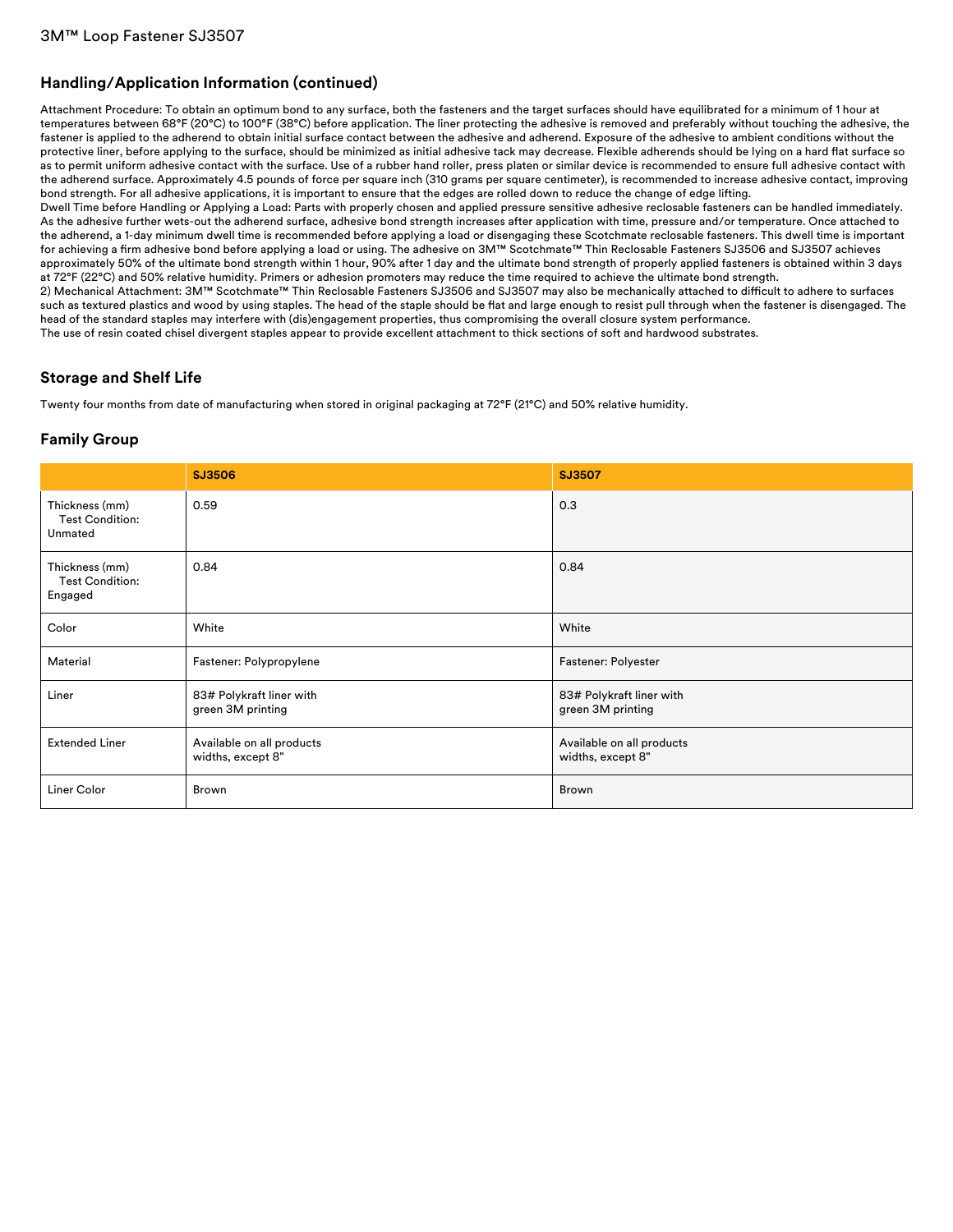# **Handling/Application Information (continued)**

Attachment Procedure: To obtain an optimum bond to any surface, both the fasteners and the target surfaces should have equilibrated for a minimum of 1 hour at temperatures between 68°F (20°C) to 100°F (38°C) before application. The liner protecting the adhesive is removed and preferably without touching the adhesive, the fastener is applied to the adherend to obtain initial surface contact between the adhesive and adherend. Exposure of the adhesive to ambient conditions without the protective liner, before applying to the surface, should be minimized as initial adhesive tack may decrease. Flexible adherends should be lying on a hard flat surface so as to permit uniform adhesive contact with the surface. Use of a rubber hand roller, press platen or similar device is recommended to ensure full adhesive contact with the adherend surface. Approximately 4.5 pounds of force per square inch (310 grams per square centimeter), is recommended to increase adhesive contact, improving bond strength. For all adhesive applications, it is important to ensure that the edges are rolled down to reduce the change of edge lifting.

Dwell Time before Handling or Applying a Load: Parts with properly chosen and applied pressure sensitive adhesive reclosable fasteners can be handled immediately. As the adhesive further wets-out the adherend surface, adhesive bond strength increases after application with time, pressure and/or temperature. Once attached to the adherend, a 1-day minimum dwell time is recommended before applying a load or disengaging these Scotchmate reclosable fasteners. This dwell time is important for achieving a firm adhesive bond before applying a load or using. The adhesive on 3M™ Scotchmate™ Thin Reclosable Fasteners SJ3506 and SJ3507 achieves approximately 50% of the ultimate bond strength within 1 hour, 90% after 1 day and the ultimate bond strength of properly applied fasteners is obtained within 3 days at 72°F (22°C) and 50% relative humidity. Primers or adhesion promoters may reduce the time required to achieve the ultimate bond strength.

2) Mechanical Attachment: 3M™ Scotchmate™ Thin Reclosable Fasteners SJ3506 and SJ3507 may also be mechanically attached to difficult to adhere to surfaces such as textured plastics and wood by using staples. The head of the staple should be flat and large enough to resist pull through when the fastener is disengaged. The head of the standard staples may interfere with (dis)engagement properties, thus compromising the overall closure system performance.

The use of resin coated chisel divergent staples appear to provide excellent attachment to thick sections of soft and hardwood substrates.

### **Storage and Shelf Life**

Twenty four months from date of manufacturing when stored in original packaging at 72°F (21°C) and 50% relative humidity.

# **Family Group**

|                                                     | SJ3506                                         | <b>SJ3507</b>                                  |
|-----------------------------------------------------|------------------------------------------------|------------------------------------------------|
| Thickness (mm)<br><b>Test Condition:</b><br>Unmated | 0.59                                           | 0.3                                            |
| Thickness (mm)<br><b>Test Condition:</b><br>Engaged | 0.84                                           | 0.84                                           |
| Color                                               | White                                          | White                                          |
| Material                                            | Fastener: Polypropylene                        | Fastener: Polyester                            |
| Liner                                               | 83# Polykraft liner with<br>green 3M printing  | 83# Polykraft liner with<br>green 3M printing  |
| <b>Extended Liner</b>                               | Available on all products<br>widths, except 8" | Available on all products<br>widths, except 8" |
| Liner Color                                         | Brown                                          | Brown                                          |